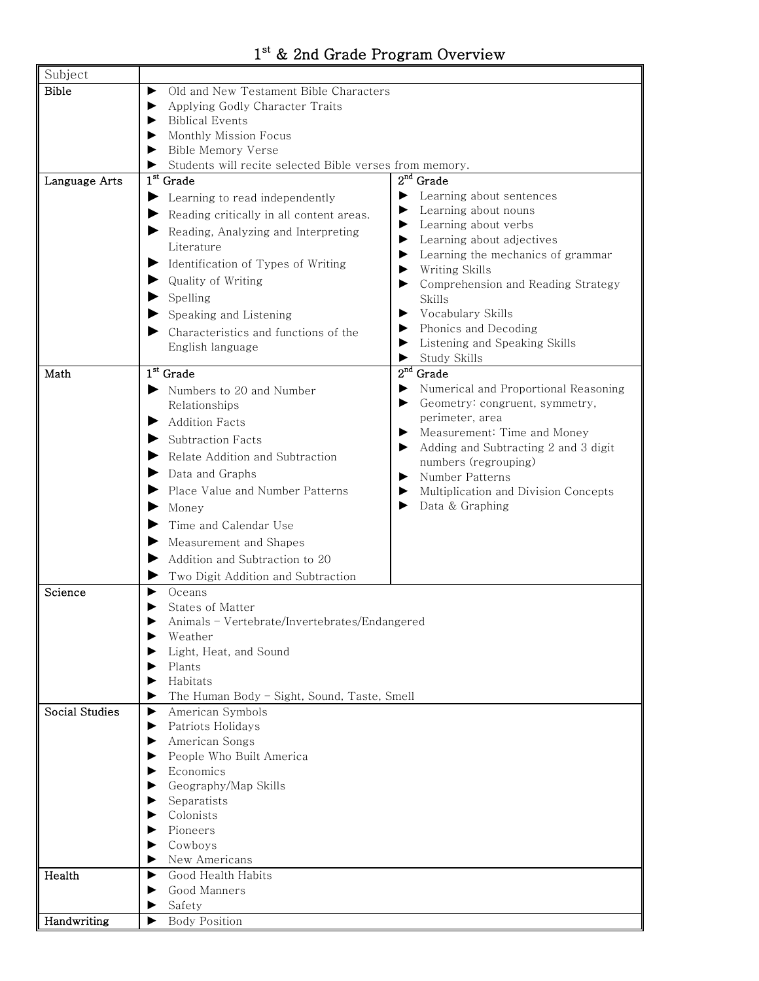## 1<sup>st</sup> & 2nd Grade Program Overview

h

| Subject        |                                                         |                                           |
|----------------|---------------------------------------------------------|-------------------------------------------|
| <b>Bible</b>   | Old and New Testament Bible Characters                  |                                           |
|                | Applying Godly Character Traits                         |                                           |
|                | Biblical Events                                         |                                           |
|                | Monthly Mission Focus                                   |                                           |
|                | Bible Memory Verse                                      |                                           |
|                | Students will recite selected Bible verses from memory. |                                           |
| Language Arts  | $1st$ Grade                                             | $2nd$ Grade                               |
|                | Learning to read independently                          | Learning about sentences                  |
|                | Reading critically in all content areas.                | Learning about nouns                      |
|                | Reading, Analyzing and Interpreting                     | Learning about verbs                      |
|                | Literature                                              | Learning about adjectives                 |
|                |                                                         | Learning the mechanics of grammar         |
|                | Identification of Types of Writing                      | Writing Skills<br>▶                       |
|                | Quality of Writing                                      | Comprehension and Reading Strategy<br>▶   |
|                | Spelling                                                | <b>Skills</b>                             |
|                | $\blacktriangleright$ Speaking and Listening            | Vocabulary Skills                         |
|                | Characteristics and functions of the                    | Phonics and Decoding<br>▶                 |
|                | English language                                        | Listening and Speaking Skills             |
|                |                                                         | Study Skills<br>▶                         |
| Math           | $1st$ Grade                                             | $2nd$ Grade                               |
|                | Numbers to 20 and Number                                | Numerical and Proportional Reasoning<br>▶ |
|                | Relationships                                           | Geometry: congruent, symmetry,<br>▶       |
|                | Addition Facts                                          | perimeter, area                           |
|                | Subtraction Facts                                       | Measurement: Time and Money<br>▶          |
|                | $\blacktriangleright$ Relate Addition and Subtraction   | Adding and Subtracting 2 and 3 digit<br>▶ |
|                | Data and Graphs                                         | numbers (regrouping)                      |
|                |                                                         | Number Patterns<br>▶                      |
|                | Place Value and Number Patterns                         | Multiplication and Division Concepts<br>▶ |
|                | Money                                                   | Data & Graphing<br>▶                      |
|                | Time and Calendar Use                                   |                                           |
|                | Measurement and Shapes<br>▶                             |                                           |
|                | Addition and Subtraction to 20                          |                                           |
|                | Two Digit Addition and Subtraction                      |                                           |
| Science        | Oceans                                                  |                                           |
|                | States of Matter                                        |                                           |
|                | Animals - Vertebrate/Invertebrates/Endangered           |                                           |
|                | Weather                                                 |                                           |
|                | Light, Heat, and Sound                                  |                                           |
|                | Plants                                                  |                                           |
|                | Habitats                                                |                                           |
|                | The Human Body - Sight, Sound, Taste, Smell             |                                           |
| Social Studies | American Symbols<br>▶                                   |                                           |
|                | Patriots Holidays                                       |                                           |
|                | American Songs                                          |                                           |
|                | People Who Built America                                |                                           |
|                | Economics                                               |                                           |
|                | Geography/Map Skills                                    |                                           |
|                | Separatists                                             |                                           |
|                | Colonists                                               |                                           |
|                | Pioneers                                                |                                           |
|                | Cowboys                                                 |                                           |
|                | New Americans                                           |                                           |
| Health         | Good Health Habits<br>▶                                 |                                           |
|                | Good Manners                                            |                                           |
|                | Safety                                                  |                                           |
| Handwriting    | <b>Body Position</b><br>▶                               |                                           |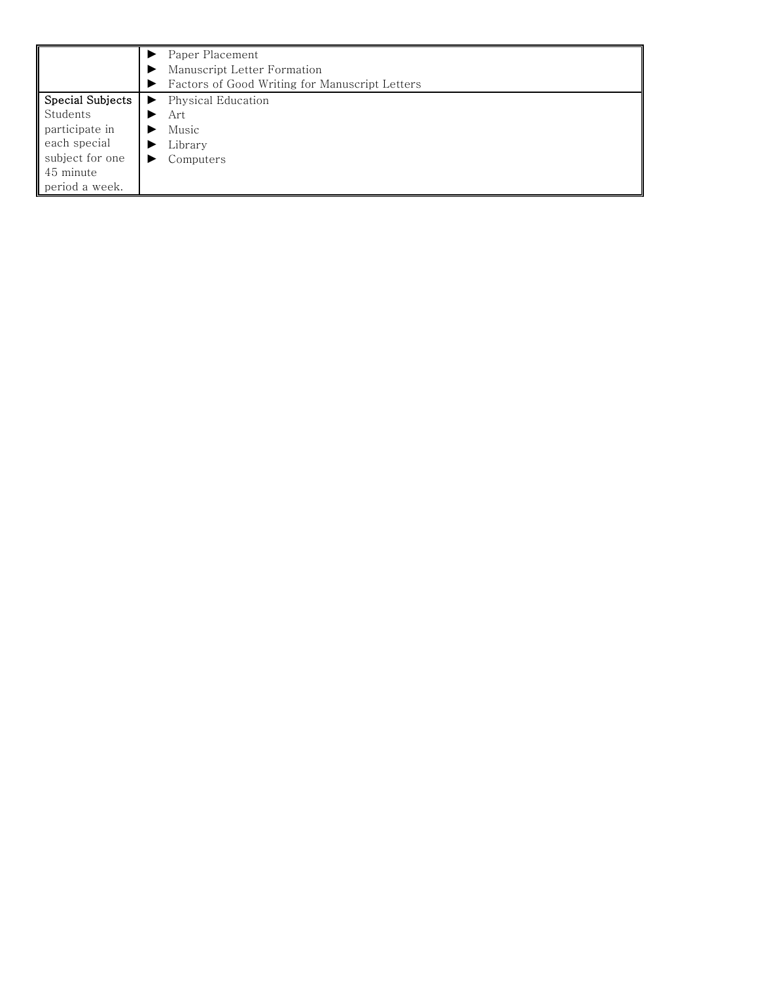|                  | Paper Placement<br>Manuscript Letter Formation |
|------------------|------------------------------------------------|
|                  | Factors of Good Writing for Manuscript Letters |
| Special Subjects | Physical Education<br>▶                        |
| Students         | Art                                            |
| participate in   | Music                                          |
| each special     | Library                                        |
| subject for one  | Computers<br>▶                                 |
| 45 minute        |                                                |
| period a week.   |                                                |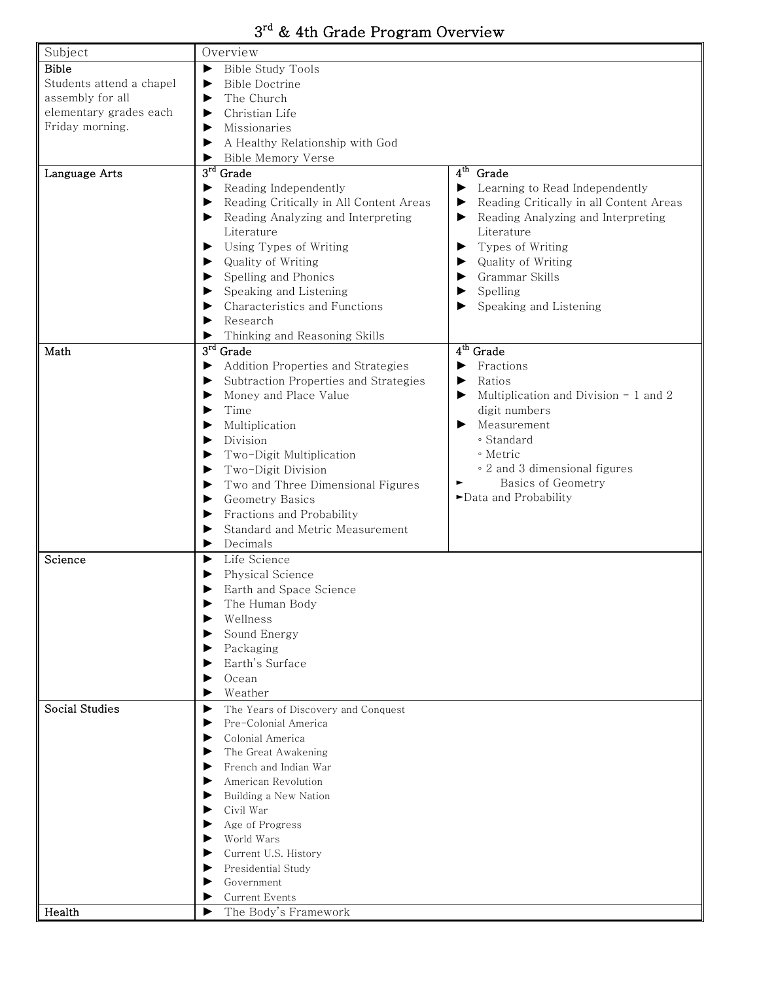## 3rd & 4th Grade Program Overview

| Subject                  | Overview                                     |                                              |
|--------------------------|----------------------------------------------|----------------------------------------------|
| <b>Bible</b>             | <b>Bible Study Tools</b><br>▶                |                                              |
| Students attend a chapel | <b>Bible Doctrine</b><br>▶                   |                                              |
| assembly for all         | The Church<br>▶                              |                                              |
| elementary grades each   | Christian Life<br>▶                          |                                              |
| Friday morning.          | Missionaries<br>▶                            |                                              |
|                          | A Healthy Relationship with God<br>▶         |                                              |
|                          | Bible Memory Verse<br>▶                      |                                              |
| Language Arts            | $3^{\text{rd}}$ Grade                        | $4^{\rm th}$<br>Grade                        |
|                          | Reading Independently<br>▶                   | ▶<br>Learning to Read Independently          |
|                          | Reading Critically in All Content Areas<br>▶ | Reading Critically in all Content Areas<br>▶ |
|                          | Reading Analyzing and Interpreting<br>▶      | Reading Analyzing and Interpreting<br>▶      |
|                          | Literature                                   | Literature                                   |
|                          | Using Types of Writing<br>▶                  | Types of Writing<br>▶                        |
|                          | Quality of Writing                           | Quality of Writing<br>▶                      |
|                          | ▶                                            | Grammar Skills<br>▶                          |
|                          | Spelling and Phonics<br>▶                    |                                              |
|                          | Speaking and Listening<br>▶                  | Spelling<br>▶                                |
|                          | Characteristics and Functions<br>▶           | Speaking and Listening<br>▶                  |
|                          | Research<br>▶                                |                                              |
|                          | Thinking and Reasoning Skills<br>▶           |                                              |
| Math                     | $3^{\rm rd}$<br>Grade                        | $4th$ Grade                                  |
|                          | Addition Properties and Strategies<br>▶      | ▶<br>Fractions                               |
|                          | Subtraction Properties and Strategies<br>▶   | Ratios<br>▶                                  |
|                          | Money and Place Value<br>▶                   | Multiplication and Division $-1$ and 2<br>▶  |
|                          | Time<br>▶                                    | digit numbers                                |
|                          | Multiplication<br>▶                          | Measurement<br>▶                             |
|                          | Division<br>▶                                | · Standard                                   |
|                          | Two-Digit Multiplication<br>▶                | ∘ Metric                                     |
|                          | Two-Digit Division<br>▶                      | • 2 and 3 dimensional figures                |
|                          | Two and Three Dimensional Figures<br>▶       | Basics of Geometry<br>►                      |
|                          | Geometry Basics<br>▶                         | >Data and Probability                        |
|                          | Fractions and Probability<br>▶               |                                              |
|                          | Standard and Metric Measurement<br>▶         |                                              |
|                          | Decimals<br>▶                                |                                              |
| Science                  | Life Science<br>▶                            |                                              |
|                          | Physical Science<br>▶                        |                                              |
|                          | Earth and Space Science<br>▶                 |                                              |
|                          | The Human Body                               |                                              |
|                          | Wellness<br>▶                                |                                              |
|                          | Sound Energy<br>▶                            |                                              |
|                          | Packaging<br>▶                               |                                              |
|                          | Earth's Surface<br>▶                         |                                              |
|                          | Ocean<br>▶                                   |                                              |
|                          | Weather<br>▶                                 |                                              |
| <b>Social Studies</b>    | ▶<br>The Years of Discovery and Conquest     |                                              |
|                          | Pre-Colonial America<br>▶                    |                                              |
|                          | Colonial America<br>▶                        |                                              |
|                          | The Great Awakening<br>▶                     |                                              |
|                          | French and Indian War<br>▶                   |                                              |
|                          | American Revolution<br>▶                     |                                              |
|                          | Building a New Nation                        |                                              |
|                          | Civil War                                    |                                              |
|                          | Age of Progress                              |                                              |
|                          | World Wars                                   |                                              |
|                          | Current U.S. History                         |                                              |
|                          | Presidential Study                           |                                              |
|                          | Government                                   |                                              |
|                          | Current Events                               |                                              |
| Health                   | The Body's Framework<br>▶                    |                                              |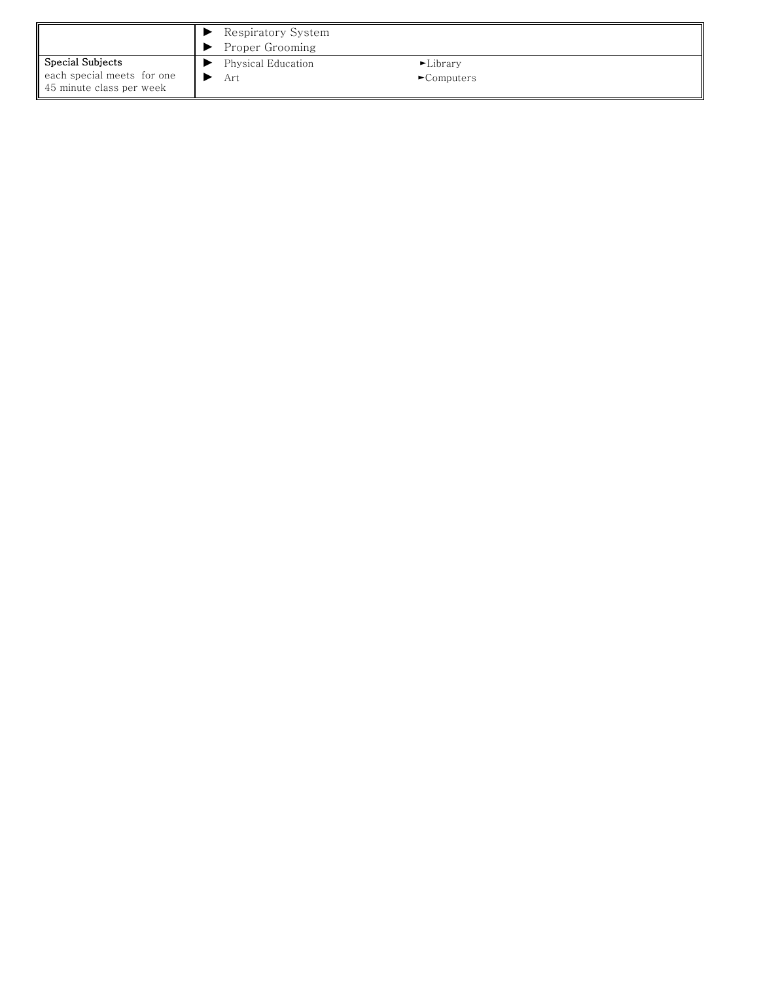|                                                        | Respiratory System<br>Proper Grooming |                                 |  |
|--------------------------------------------------------|---------------------------------------|---------------------------------|--|
| Special Subjects                                       | Physical Education                    | $\blacktriangleright$ Library   |  |
| each special meets for one<br>45 minute class per week | Art                                   | $\blacktriangleright$ Computers |  |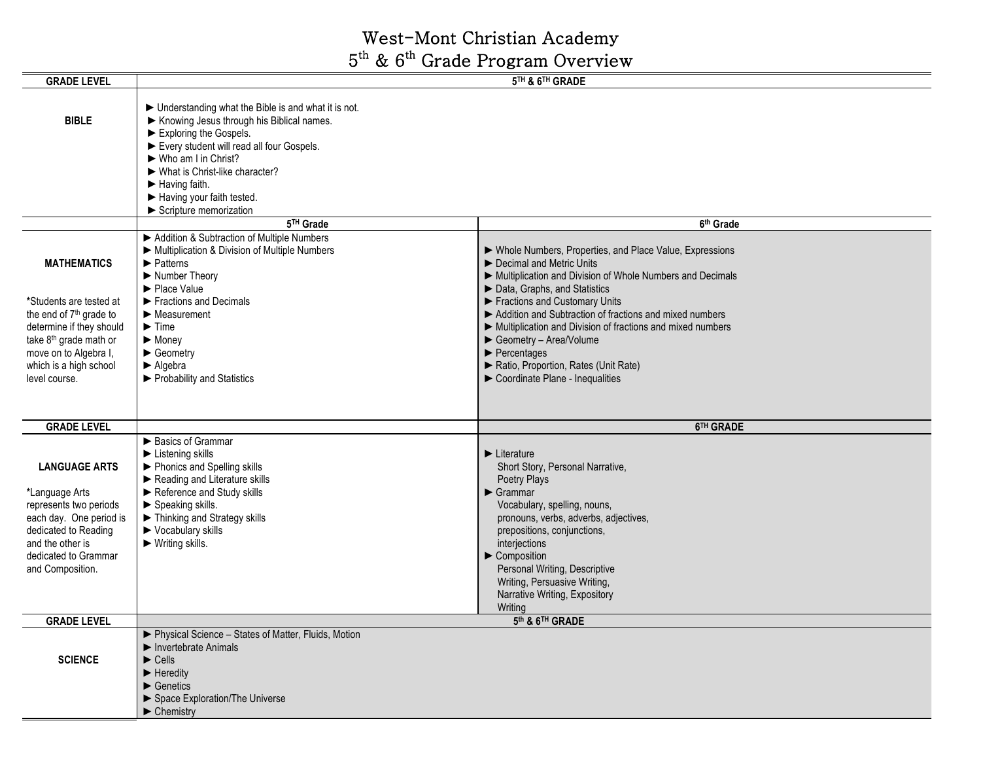## West-Mont Christian Academy 5<sup>th</sup> & 6<sup>th</sup> Grade Program Overview

| <b>GRADE LEVEL</b>                                                                                                                                                                  | 5TH & 6TH GRADE                                                                                                                                                                                                                                                                                                                                                                                                          |                                                                                                                                                                                                                                                                                                                                                                            |
|-------------------------------------------------------------------------------------------------------------------------------------------------------------------------------------|--------------------------------------------------------------------------------------------------------------------------------------------------------------------------------------------------------------------------------------------------------------------------------------------------------------------------------------------------------------------------------------------------------------------------|----------------------------------------------------------------------------------------------------------------------------------------------------------------------------------------------------------------------------------------------------------------------------------------------------------------------------------------------------------------------------|
| <b>BIBLE</b>                                                                                                                                                                        | $\blacktriangleright$ Understanding what the Bible is and what it is not.<br>Knowing Jesus through his Biblical names.<br>$\blacktriangleright$ Exploring the Gospels.<br>Every student will read all four Gospels.<br>▶ Who am I in Christ?<br>$\blacktriangleright$ What is Christ-like character?<br>$\blacktriangleright$ Having faith.<br>Having your faith tested.<br>$\blacktriangleright$ Scripture memorization |                                                                                                                                                                                                                                                                                                                                                                            |
|                                                                                                                                                                                     | 5 <sup>TH</sup> Grade                                                                                                                                                                                                                                                                                                                                                                                                    | 6 <sup>th</sup> Grade                                                                                                                                                                                                                                                                                                                                                      |
| <b>MATHEMATICS</b>                                                                                                                                                                  | Addition & Subtraction of Multiple Numbers<br>Multiplication & Division of Multiple Numbers<br>$\blacktriangleright$ Patterns<br>Number Theory<br>Place Value                                                                                                                                                                                                                                                            | Mhole Numbers, Properties, and Place Value, Expressions<br>Decimal and Metric Units<br>Multiplication and Division of Whole Numbers and Decimals<br>Data, Graphs, and Statistics                                                                                                                                                                                           |
| *Students are tested at<br>the end of 7 <sup>th</sup> grade to                                                                                                                      | $\blacktriangleright$ Fractions and Decimals<br>$\blacktriangleright$ Measurement                                                                                                                                                                                                                                                                                                                                        | Fractions and Customary Units<br>Addition and Subtraction of fractions and mixed numbers                                                                                                                                                                                                                                                                                   |
| determine if they should                                                                                                                                                            | $\blacktriangleright$ Time                                                                                                                                                                                                                                                                                                                                                                                               | Multiplication and Division of fractions and mixed numbers                                                                                                                                                                                                                                                                                                                 |
| take 8 <sup>th</sup> grade math or                                                                                                                                                  | $\blacktriangleright$ Money                                                                                                                                                                                                                                                                                                                                                                                              | Geometry - Area/Volume                                                                                                                                                                                                                                                                                                                                                     |
| move on to Algebra I,                                                                                                                                                               | $\blacktriangleright$ Geometry                                                                                                                                                                                                                                                                                                                                                                                           | $\blacktriangleright$ Percentages                                                                                                                                                                                                                                                                                                                                          |
| which is a high school                                                                                                                                                              | $\blacktriangleright$ Algebra                                                                                                                                                                                                                                                                                                                                                                                            | Ratio, Proportion, Rates (Unit Rate)                                                                                                                                                                                                                                                                                                                                       |
| level course.                                                                                                                                                                       | ▶ Probability and Statistics                                                                                                                                                                                                                                                                                                                                                                                             | Coordinate Plane - Inequalities                                                                                                                                                                                                                                                                                                                                            |
| <b>GRADE LEVEL</b>                                                                                                                                                                  |                                                                                                                                                                                                                                                                                                                                                                                                                          | 6TH GRADE                                                                                                                                                                                                                                                                                                                                                                  |
| <b>LANGUAGE ARTS</b><br>*Language Arts<br>represents two periods<br>each day. One period is<br>dedicated to Reading<br>and the other is<br>dedicated to Grammar<br>and Composition. | Basics of Grammar<br>$\blacktriangleright$ Listening skills<br>▶ Phonics and Spelling skills<br>Reading and Literature skills<br>Reference and Study skills<br>$\blacktriangleright$ Speaking skills.<br>Thinking and Strategy skills<br>$\blacktriangleright$ Vocabulary skills<br>$\blacktriangleright$ Writing skills.                                                                                                | $\blacktriangleright$ Literature<br>Short Story, Personal Narrative,<br>Poetry Plays<br>$\blacktriangleright$ Grammar<br>Vocabulary, spelling, nouns,<br>pronouns, verbs, adverbs, adjectives,<br>prepositions, conjunctions,<br>interjections<br>Composition<br>Personal Writing, Descriptive<br>Writing, Persuasive Writing,<br>Narrative Writing, Expository<br>Writing |
| <b>GRADE LEVEL</b>                                                                                                                                                                  |                                                                                                                                                                                                                                                                                                                                                                                                                          | 5th & 6TH GRADE                                                                                                                                                                                                                                                                                                                                                            |
| <b>SCIENCE</b>                                                                                                                                                                      | ▶ Physical Science - States of Matter, Fluids, Motion<br>$\blacktriangleright$ Invertebrate Animals<br>$\blacktriangleright$ Cells<br>$\blacktriangleright$ Heredity<br>$\blacktriangleright$ Genetics<br>Space Exploration/The Universe<br>$\blacktriangleright$ Chemistry                                                                                                                                              |                                                                                                                                                                                                                                                                                                                                                                            |